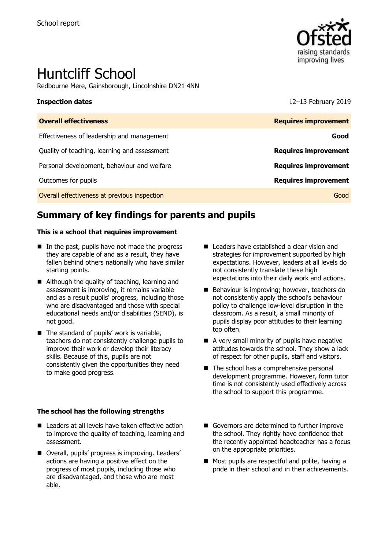

# Huntcliff School

Redbourne Mere, Gainsborough, Lincolnshire DN21 4NN

**Inspection dates** 12–13 February 2019

| <b>Overall effectiveness</b>                 | <b>Requires improvement</b> |
|----------------------------------------------|-----------------------------|
| Effectiveness of leadership and management   | Good                        |
| Quality of teaching, learning and assessment | <b>Requires improvement</b> |
| Personal development, behaviour and welfare  | <b>Requires improvement</b> |
| Outcomes for pupils                          | <b>Requires improvement</b> |
| Overall effectiveness at previous inspection | Good                        |

# **Summary of key findings for parents and pupils**

### **This is a school that requires improvement**

- $\blacksquare$  In the past, pupils have not made the progress they are capable of and as a result, they have fallen behind others nationally who have similar starting points.
- Although the quality of teaching, learning and assessment is improving, it remains variable and as a result pupils' progress, including those who are disadvantaged and those with special educational needs and/or disabilities (SEND), is not good.
- $\blacksquare$  The standard of pupils' work is variable, teachers do not consistently challenge pupils to improve their work or develop their literacy skills. Because of this, pupils are not consistently given the opportunities they need to make good progress.

### **The school has the following strengths**

- Leaders at all levels have taken effective action to improve the quality of teaching, learning and assessment.
- Overall, pupils' progress is improving. Leaders' actions are having a positive effect on the progress of most pupils, including those who are disadvantaged, and those who are most able.
- Leaders have established a clear vision and strategies for improvement supported by high expectations. However, leaders at all levels do not consistently translate these high expectations into their daily work and actions.
- Behaviour is improving; however, teachers do not consistently apply the school's behaviour policy to challenge low-level disruption in the classroom. As a result, a small minority of pupils display poor attitudes to their learning too often.
- A very small minority of pupils have negative attitudes towards the school. They show a lack of respect for other pupils, staff and visitors.
- The school has a comprehensive personal development programme. However, form tutor time is not consistently used effectively across the school to support this programme.
- Governors are determined to further improve the school. They rightly have confidence that the recently appointed headteacher has a focus on the appropriate priorities.
- Most pupils are respectful and polite, having a pride in their school and in their achievements.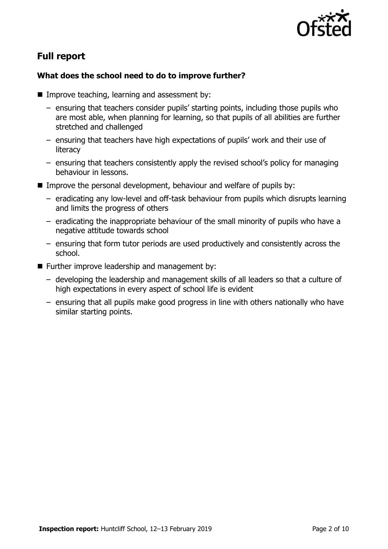

# **Full report**

### **What does the school need to do to improve further?**

- $\blacksquare$  Improve teaching, learning and assessment by:
	- ensuring that teachers consider pupils' starting points, including those pupils who are most able, when planning for learning, so that pupils of all abilities are further stretched and challenged
	- ensuring that teachers have high expectations of pupils' work and their use of literacy
	- ensuring that teachers consistently apply the revised school's policy for managing behaviour in lessons.
- Improve the personal development, behaviour and welfare of pupils by:
	- eradicating any low-level and off-task behaviour from pupils which disrupts learning and limits the progress of others
	- eradicating the inappropriate behaviour of the small minority of pupils who have a negative attitude towards school
	- ensuring that form tutor periods are used productively and consistently across the school.
- Further improve leadership and management by:
	- developing the leadership and management skills of all leaders so that a culture of high expectations in every aspect of school life is evident
	- ensuring that all pupils make good progress in line with others nationally who have similar starting points.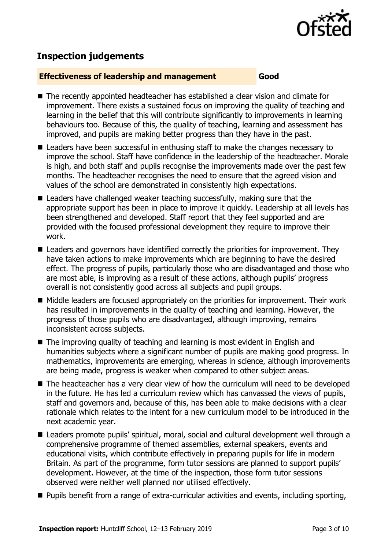

# **Inspection judgements**

### **Effectiveness of leadership and management Good**

- The recently appointed headteacher has established a clear vision and climate for improvement. There exists a sustained focus on improving the quality of teaching and learning in the belief that this will contribute significantly to improvements in learning behaviours too. Because of this, the quality of teaching, learning and assessment has improved, and pupils are making better progress than they have in the past.
- Leaders have been successful in enthusing staff to make the changes necessary to improve the school. Staff have confidence in the leadership of the headteacher. Morale is high, and both staff and pupils recognise the improvements made over the past few months. The headteacher recognises the need to ensure that the agreed vision and values of the school are demonstrated in consistently high expectations.
- Leaders have challenged weaker teaching successfully, making sure that the appropriate support has been in place to improve it quickly. Leadership at all levels has been strengthened and developed. Staff report that they feel supported and are provided with the focused professional development they require to improve their work.
- Leaders and governors have identified correctly the priorities for improvement. They have taken actions to make improvements which are beginning to have the desired effect. The progress of pupils, particularly those who are disadvantaged and those who are most able, is improving as a result of these actions, although pupils' progress overall is not consistently good across all subjects and pupil groups.
- Middle leaders are focused appropriately on the priorities for improvement. Their work has resulted in improvements in the quality of teaching and learning. However, the progress of those pupils who are disadvantaged, although improving, remains inconsistent across subjects.
- The improving quality of teaching and learning is most evident in English and humanities subjects where a significant number of pupils are making good progress. In mathematics, improvements are emerging, whereas in science, although improvements are being made, progress is weaker when compared to other subject areas.
- The headteacher has a very clear view of how the curriculum will need to be developed in the future. He has led a curriculum review which has canvassed the views of pupils, staff and governors and, because of this, has been able to make decisions with a clear rationale which relates to the intent for a new curriculum model to be introduced in the next academic year.
- Leaders promote pupils' spiritual, moral, social and cultural development well through a comprehensive programme of themed assemblies, external speakers, events and educational visits, which contribute effectively in preparing pupils for life in modern Britain. As part of the programme, form tutor sessions are planned to support pupils' development. However, at the time of the inspection, those form tutor sessions observed were neither well planned nor utilised effectively.
- **Pupils benefit from a range of extra-curricular activities and events, including sporting,**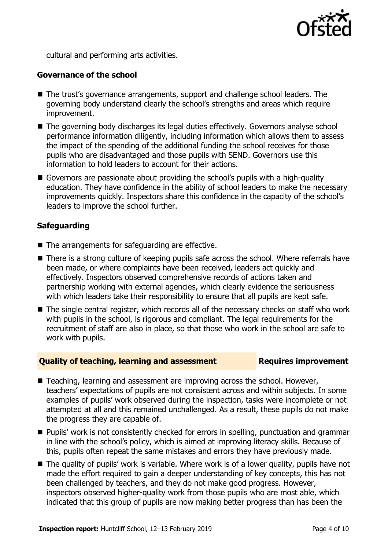

cultural and performing arts activities.

### **Governance of the school**

- The trust's governance arrangements, support and challenge school leaders. The governing body understand clearly the school's strengths and areas which require improvement.
- The governing body discharges its legal duties effectively. Governors analyse school performance information diligently, including information which allows them to assess the impact of the spending of the additional funding the school receives for those pupils who are disadvantaged and those pupils with SEND. Governors use this information to hold leaders to account for their actions.
- Governors are passionate about providing the school's pupils with a high-quality education. They have confidence in the ability of school leaders to make the necessary improvements quickly. Inspectors share this confidence in the capacity of the school's leaders to improve the school further.

### **Safeguarding**

- $\blacksquare$  The arrangements for safeguarding are effective.
- There is a strong culture of keeping pupils safe across the school. Where referrals have been made, or where complaints have been received, leaders act quickly and effectively. Inspectors observed comprehensive records of actions taken and partnership working with external agencies, which clearly evidence the seriousness with which leaders take their responsibility to ensure that all pupils are kept safe.
- The single central register, which records all of the necessary checks on staff who work with pupils in the school, is rigorous and compliant. The legal requirements for the recruitment of staff are also in place, so that those who work in the school are safe to work with pupils.

### **Quality of teaching, learning and assessment Requires improvement**

- Teaching, learning and assessment are improving across the school. However, teachers' expectations of pupils are not consistent across and within subjects. In some examples of pupils' work observed during the inspection, tasks were incomplete or not attempted at all and this remained unchallenged. As a result, these pupils do not make the progress they are capable of.
- **Pupils' work is not consistently checked for errors in spelling, punctuation and grammar** in line with the school's policy, which is aimed at improving literacy skills. Because of this, pupils often repeat the same mistakes and errors they have previously made.
- The quality of pupils' work is variable. Where work is of a lower quality, pupils have not made the effort required to gain a deeper understanding of key concepts, this has not been challenged by teachers, and they do not make good progress. However, inspectors observed higher-quality work from those pupils who are most able, which indicated that this group of pupils are now making better progress than has been the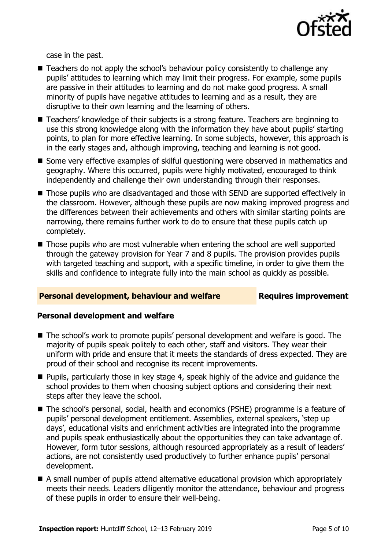

case in the past.

- Teachers do not apply the school's behaviour policy consistently to challenge any pupils' attitudes to learning which may limit their progress. For example, some pupils are passive in their attitudes to learning and do not make good progress. A small minority of pupils have negative attitudes to learning and as a result, they are disruptive to their own learning and the learning of others.
- Teachers' knowledge of their subjects is a strong feature. Teachers are beginning to use this strong knowledge along with the information they have about pupils' starting points, to plan for more effective learning. In some subjects, however, this approach is in the early stages and, although improving, teaching and learning is not good.
- Some very effective examples of skilful questioning were observed in mathematics and geography. Where this occurred, pupils were highly motivated, encouraged to think independently and challenge their own understanding through their responses.
- Those pupils who are disadvantaged and those with SEND are supported effectively in the classroom. However, although these pupils are now making improved progress and the differences between their achievements and others with similar starting points are narrowing, there remains further work to do to ensure that these pupils catch up completely.
- Those pupils who are most vulnerable when entering the school are well supported through the gateway provision for Year 7 and 8 pupils. The provision provides pupils with targeted teaching and support, with a specific timeline, in order to give them the skills and confidence to integrate fully into the main school as quickly as possible.

### **Personal development, behaviour and welfare Fig. 2.1 Requires improvement**

### **Personal development and welfare**

- The school's work to promote pupils' personal development and welfare is good. The majority of pupils speak politely to each other, staff and visitors. They wear their uniform with pride and ensure that it meets the standards of dress expected. They are proud of their school and recognise its recent improvements.
- **Pupils, particularly those in key stage 4, speak highly of the advice and guidance the** school provides to them when choosing subject options and considering their next steps after they leave the school.
- The school's personal, social, health and economics (PSHE) programme is a feature of pupils' personal development entitlement. Assemblies, external speakers, 'step up days', educational visits and enrichment activities are integrated into the programme and pupils speak enthusiastically about the opportunities they can take advantage of. However, form tutor sessions, although resourced appropriately as a result of leaders' actions, are not consistently used productively to further enhance pupils' personal development.
- A small number of pupils attend alternative educational provision which appropriately meets their needs. Leaders diligently monitor the attendance, behaviour and progress of these pupils in order to ensure their well-being.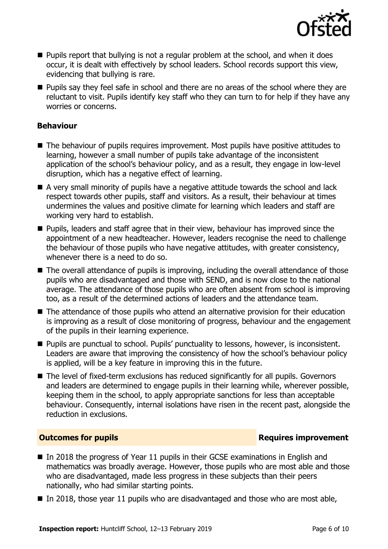

- **Pupils report that bullying is not a regular problem at the school, and when it does** occur, it is dealt with effectively by school leaders. School records support this view, evidencing that bullying is rare.
- **Pupils say they feel safe in school and there are no areas of the school where they are** reluctant to visit. Pupils identify key staff who they can turn to for help if they have any worries or concerns.

### **Behaviour**

- The behaviour of pupils requires improvement. Most pupils have positive attitudes to learning, however a small number of pupils take advantage of the inconsistent application of the school's behaviour policy, and as a result, they engage in low-level disruption, which has a negative effect of learning.
- A very small minority of pupils have a negative attitude towards the school and lack respect towards other pupils, staff and visitors. As a result, their behaviour at times undermines the values and positive climate for learning which leaders and staff are working very hard to establish.
- **Pupils, leaders and staff agree that in their view, behaviour has improved since the** appointment of a new headteacher. However, leaders recognise the need to challenge the behaviour of those pupils who have negative attitudes, with greater consistency, whenever there is a need to do so.
- The overall attendance of pupils is improving, including the overall attendance of those pupils who are disadvantaged and those with SEND, and is now close to the national average. The attendance of those pupils who are often absent from school is improving too, as a result of the determined actions of leaders and the attendance team.
- The attendance of those pupils who attend an alternative provision for their education is improving as a result of close monitoring of progress, behaviour and the engagement of the pupils in their learning experience.
- **Pupils are punctual to school. Pupils' punctuality to lessons, however, is inconsistent.** Leaders are aware that improving the consistency of how the school's behaviour policy is applied, will be a key feature in improving this in the future.
- The level of fixed-term exclusions has reduced significantly for all pupils. Governors and leaders are determined to engage pupils in their learning while, wherever possible, keeping them in the school, to apply appropriate sanctions for less than acceptable behaviour. Consequently, internal isolations have risen in the recent past, alongside the reduction in exclusions.

### **Outcomes for pupils Requires improvement**

- In 2018 the progress of Year 11 pupils in their GCSE examinations in English and mathematics was broadly average. However, those pupils who are most able and those who are disadvantaged, made less progress in these subjects than their peers nationally, who had similar starting points.
- In 2018, those year 11 pupils who are disadvantaged and those who are most able,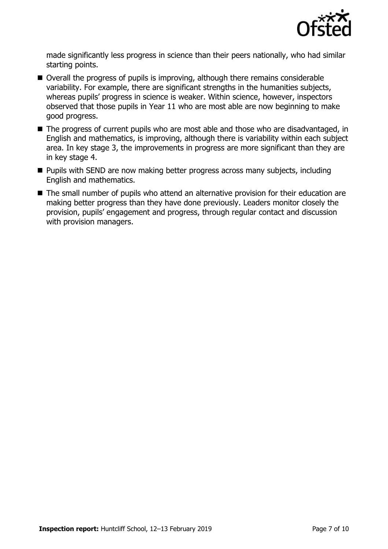

made significantly less progress in science than their peers nationally, who had similar starting points.

- Overall the progress of pupils is improving, although there remains considerable variability. For example, there are significant strengths in the humanities subjects, whereas pupils' progress in science is weaker. Within science, however, inspectors observed that those pupils in Year 11 who are most able are now beginning to make good progress.
- The progress of current pupils who are most able and those who are disadvantaged, in English and mathematics, is improving, although there is variability within each subject area. In key stage 3, the improvements in progress are more significant than they are in key stage 4.
- **Pupils with SEND are now making better progress across many subjects, including** English and mathematics.
- The small number of pupils who attend an alternative provision for their education are making better progress than they have done previously. Leaders monitor closely the provision, pupils' engagement and progress, through regular contact and discussion with provision managers.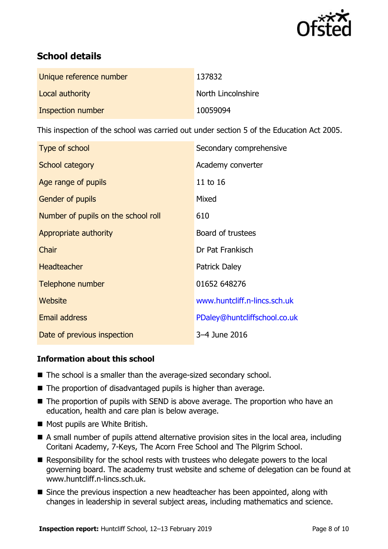

# **School details**

| Unique reference number | 137832             |
|-------------------------|--------------------|
| Local authority         | North Lincolnshire |
| Inspection number       | 10059094           |

This inspection of the school was carried out under section 5 of the Education Act 2005.

| Type of school                      | Secondary comprehensive      |
|-------------------------------------|------------------------------|
| School category                     | Academy converter            |
| Age range of pupils                 | 11 to 16                     |
| <b>Gender of pupils</b>             | Mixed                        |
| Number of pupils on the school roll | 610                          |
| Appropriate authority               | Board of trustees            |
| Chair                               | Dr Pat Frankisch             |
| <b>Headteacher</b>                  | <b>Patrick Daley</b>         |
| Telephone number                    | 01652 648276                 |
| Website                             | www.huntcliff.n-lincs.sch.uk |
| <b>Email address</b>                | PDaley@huntcliffschool.co.uk |
| Date of previous inspection         | 3-4 June 2016                |

### **Information about this school**

- The school is a smaller than the average-sized secondary school.
- The proportion of disadvantaged pupils is higher than average.
- The proportion of pupils with SEND is above average. The proportion who have an education, health and care plan is below average.
- Most pupils are White British.
- A small number of pupils attend alternative provision sites in the local area, including Coritani Academy, 7-Keys, The Acorn Free School and The Pilgrim School.
- Responsibility for the school rests with trustees who delegate powers to the local governing board. The academy trust website and scheme of delegation can be found at www.huntcliff.n-lincs.sch.uk.
- Since the previous inspection a new headteacher has been appointed, along with changes in leadership in several subject areas, including mathematics and science.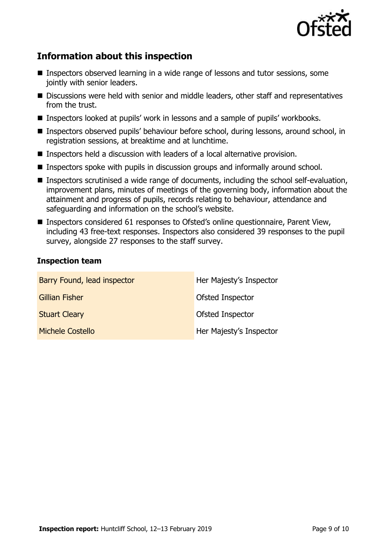

# **Information about this inspection**

- Inspectors observed learning in a wide range of lessons and tutor sessions, some jointly with senior leaders.
- Discussions were held with senior and middle leaders, other staff and representatives from the trust.
- Inspectors looked at pupils' work in lessons and a sample of pupils' workbooks.
- Inspectors observed pupils' behaviour before school, during lessons, around school, in registration sessions, at breaktime and at lunchtime.
- Inspectors held a discussion with leaders of a local alternative provision.
- Inspectors spoke with pupils in discussion groups and informally around school.
- Inspectors scrutinised a wide range of documents, including the school self-evaluation, improvement plans, minutes of meetings of the governing body, information about the attainment and progress of pupils, records relating to behaviour, attendance and safeguarding and information on the school's website.
- Inspectors considered 61 responses to Ofsted's online questionnaire, Parent View, including 43 free-text responses. Inspectors also considered 39 responses to the pupil survey, alongside 27 responses to the staff survey.

### **Inspection team**

| Barry Found, lead inspector | Her Majesty's Inspector |
|-----------------------------|-------------------------|
| <b>Gillian Fisher</b>       | Ofsted Inspector        |
| <b>Stuart Cleary</b>        | Ofsted Inspector        |
| <b>Michele Costello</b>     | Her Majesty's Inspector |